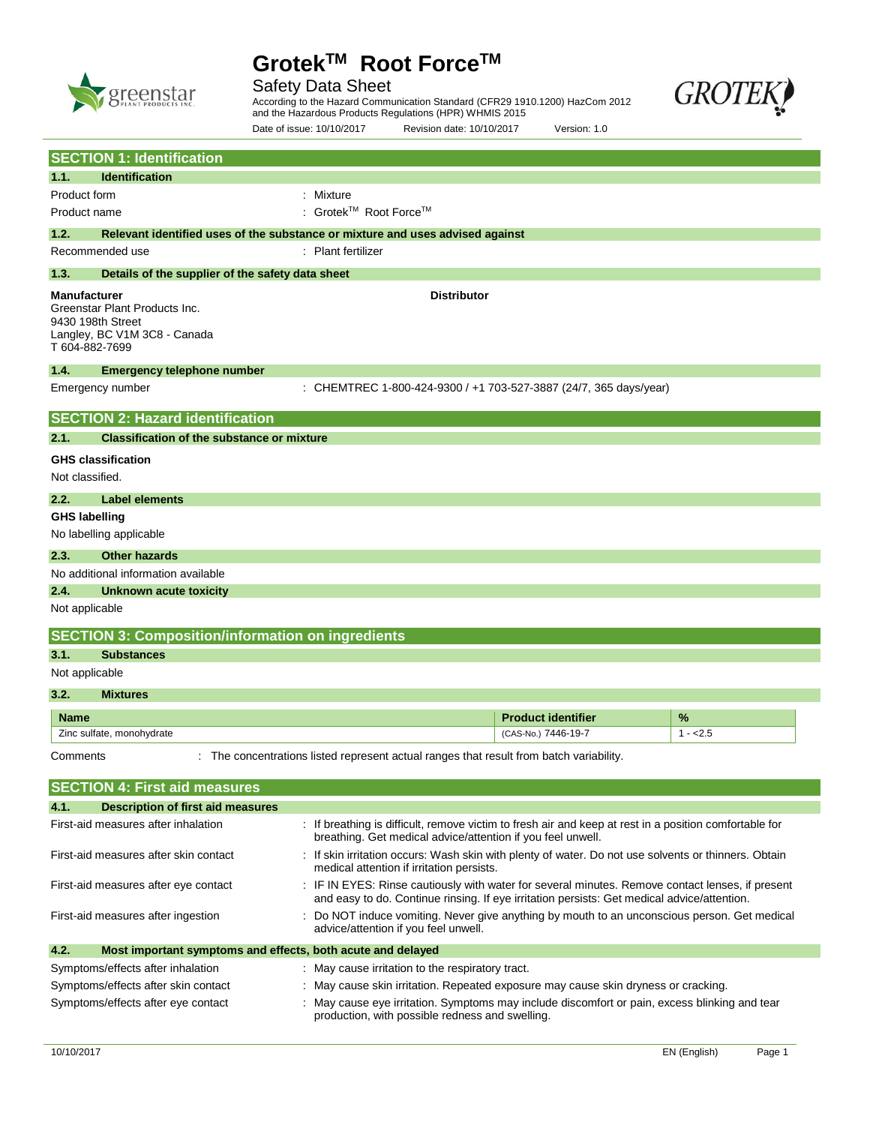

# Safety Data Sheet

**GROTEI** 

According to the Hazard Communication Standard (CFR29 1910.1200) HazCom 2012 and the Hazardous Products Regulations (HPR) WHMIS 2015

|                      |                                                                                                                                            | Date of issue: 10/10/2017 | Revision date: 10/10/2017                                                                                                                                                                       | Version: 1.0              |           |
|----------------------|--------------------------------------------------------------------------------------------------------------------------------------------|---------------------------|-------------------------------------------------------------------------------------------------------------------------------------------------------------------------------------------------|---------------------------|-----------|
|                      | <b>SECTION 1: Identification</b>                                                                                                           |                           |                                                                                                                                                                                                 |                           |           |
| 1.1.                 | <b>Identification</b>                                                                                                                      |                           |                                                                                                                                                                                                 |                           |           |
| Product form         |                                                                                                                                            | : Mixture                 |                                                                                                                                                                                                 |                           |           |
| Product name         |                                                                                                                                            | : Grotek™ Root Force™     |                                                                                                                                                                                                 |                           |           |
| 1.2.                 | Relevant identified uses of the substance or mixture and uses advised against                                                              |                           |                                                                                                                                                                                                 |                           |           |
|                      | Recommended use                                                                                                                            | : Plant fertilizer        |                                                                                                                                                                                                 |                           |           |
| 1.3.                 | Details of the supplier of the safety data sheet                                                                                           |                           |                                                                                                                                                                                                 |                           |           |
|                      | <b>Distributor</b><br>Manufacturer<br>Greenstar Plant Products Inc.<br>9430 198th Street<br>Langley, BC V1M 3C8 - Canada<br>T 604-882-7699 |                           |                                                                                                                                                                                                 |                           |           |
| 1.4.                 | <b>Emergency telephone number</b>                                                                                                          |                           |                                                                                                                                                                                                 |                           |           |
|                      | Emergency number                                                                                                                           |                           | : CHEMTREC 1-800-424-9300 / +1 703-527-3887 (24/7, 365 days/year)                                                                                                                               |                           |           |
|                      | <b>SECTION 2: Hazard identification</b>                                                                                                    |                           |                                                                                                                                                                                                 |                           |           |
| 2.1.                 | <b>Classification of the substance or mixture</b>                                                                                          |                           |                                                                                                                                                                                                 |                           |           |
| Not classified.      | <b>GHS classification</b>                                                                                                                  |                           |                                                                                                                                                                                                 |                           |           |
| 2.2.                 | <b>Label elements</b>                                                                                                                      |                           |                                                                                                                                                                                                 |                           |           |
| <b>GHS labelling</b> | No labelling applicable                                                                                                                    |                           |                                                                                                                                                                                                 |                           |           |
| 2.3.                 | <b>Other hazards</b>                                                                                                                       |                           |                                                                                                                                                                                                 |                           |           |
|                      | No additional information available                                                                                                        |                           |                                                                                                                                                                                                 |                           |           |
| 2.4.                 | Unknown acute toxicity                                                                                                                     |                           |                                                                                                                                                                                                 |                           |           |
| Not applicable       |                                                                                                                                            |                           |                                                                                                                                                                                                 |                           |           |
|                      | <b>SECTION 3: Composition/information on ingredients</b>                                                                                   |                           |                                                                                                                                                                                                 |                           |           |
| 3.1.                 | <b>Substances</b>                                                                                                                          |                           |                                                                                                                                                                                                 |                           |           |
| Not applicable       |                                                                                                                                            |                           |                                                                                                                                                                                                 |                           |           |
| 3.2.                 | <b>Mixtures</b>                                                                                                                            |                           |                                                                                                                                                                                                 |                           |           |
| <b>Name</b>          |                                                                                                                                            |                           |                                                                                                                                                                                                 | <b>Product identifier</b> | %         |
|                      | Zinc sulfate, monohydrate                                                                                                                  |                           |                                                                                                                                                                                                 | (CAS-No.) 7446-19-7       | $1 - 2.5$ |
| Comments             |                                                                                                                                            |                           | : The concentrations listed represent actual ranges that result from batch variability.                                                                                                         |                           |           |
|                      | <b>SECTION 4: First aid measures</b>                                                                                                       |                           |                                                                                                                                                                                                 |                           |           |
| 4.1.                 | Description of first aid measures                                                                                                          |                           |                                                                                                                                                                                                 |                           |           |
|                      | First-aid measures after inhalation                                                                                                        |                           | : If breathing is difficult, remove victim to fresh air and keep at rest in a position comfortable for<br>breathing. Get medical advice/attention if you feel unwell.                           |                           |           |
|                      | First-aid measures after skin contact                                                                                                      |                           | : If skin irritation occurs: Wash skin with plenty of water. Do not use solvents or thinners. Obtain<br>medical attention if irritation persists.                                               |                           |           |
|                      | First-aid measures after eye contact                                                                                                       |                           | : IF IN EYES: Rinse cautiously with water for several minutes. Remove contact lenses, if present<br>and easy to do. Continue rinsing. If eye irritation persists: Get medical advice/attention. |                           |           |
|                      | First-aid measures after ingestion                                                                                                         |                           | Do NOT induce vomiting. Never give anything by mouth to an unconscious person. Get medical<br>advice/attention if you feel unwell.                                                              |                           |           |
| 4.2.                 | Most important symptoms and effects, both acute and delayed                                                                                |                           |                                                                                                                                                                                                 |                           |           |
|                      | Symptoms/effects after inhalation                                                                                                          |                           | : May cause irritation to the respiratory tract.                                                                                                                                                |                           |           |

Symptoms/effects after skin contact : May cause skin irritation. Repeated exposure may cause skin dryness or cracking.

Symptoms/effects after eye contact : May cause eye irritation. Symptoms may include discomfort or pain, excess blinking and tear production, with possible redness and swelling.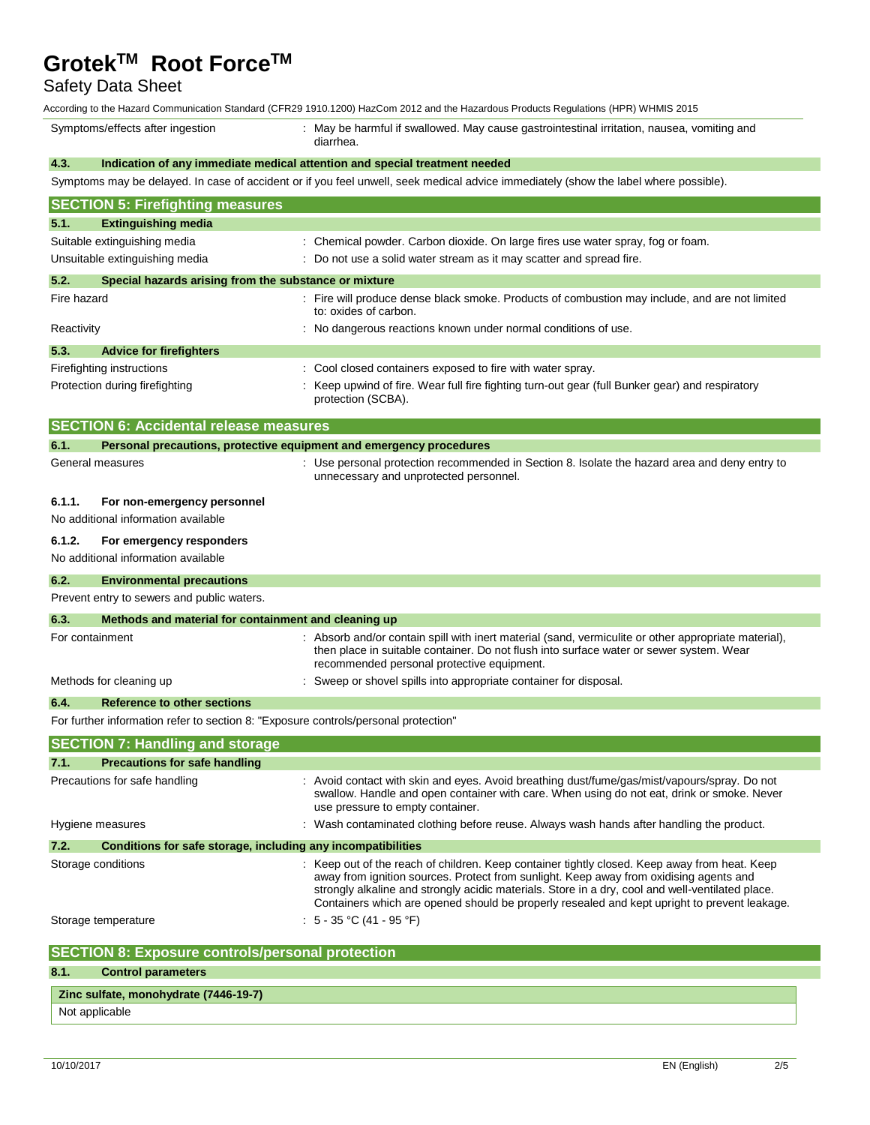Safety Data Sheet

According to the Hazard Communication Standard (CFR29 1910.1200) HazCom 2012 and the Hazardous Products Regulations (HPR) WHMIS 2015

| Symptoms/effects after ingestion |                                                                                     | RUUNIN ON HETIAZAIU OONINIUMUUDI OLAHUAU (OLINZYTYIV.TZVV) HAZOONI ZVTZ ANU METIAZAIUVUS FIVUUUS NEYUIAMOIS (HFN) VYHIVIIS ZVTJ<br>: May be harmful if swallowed. May cause gastrointestinal irritation, nausea, vomiting and<br>diarrhea.                                                                                                                                                  |  |  |
|----------------------------------|-------------------------------------------------------------------------------------|---------------------------------------------------------------------------------------------------------------------------------------------------------------------------------------------------------------------------------------------------------------------------------------------------------------------------------------------------------------------------------------------|--|--|
| 4.3.                             |                                                                                     | Indication of any immediate medical attention and special treatment needed                                                                                                                                                                                                                                                                                                                  |  |  |
|                                  |                                                                                     | Symptoms may be delayed. In case of accident or if you feel unwell, seek medical advice immediately (show the label where possible).                                                                                                                                                                                                                                                        |  |  |
|                                  | <b>SECTION 5: Firefighting measures</b>                                             |                                                                                                                                                                                                                                                                                                                                                                                             |  |  |
| 5.1.                             | <b>Extinguishing media</b>                                                          |                                                                                                                                                                                                                                                                                                                                                                                             |  |  |
|                                  | Suitable extinguishing media                                                        | : Chemical powder. Carbon dioxide. On large fires use water spray, fog or foam.                                                                                                                                                                                                                                                                                                             |  |  |
|                                  | Unsuitable extinguishing media                                                      | : Do not use a solid water stream as it may scatter and spread fire.                                                                                                                                                                                                                                                                                                                        |  |  |
| 5.2.                             | Special hazards arising from the substance or mixture                               |                                                                                                                                                                                                                                                                                                                                                                                             |  |  |
| Fire hazard                      |                                                                                     | : Fire will produce dense black smoke. Products of combustion may include, and are not limited<br>to: oxides of carbon.                                                                                                                                                                                                                                                                     |  |  |
| Reactivity                       |                                                                                     | : No dangerous reactions known under normal conditions of use.                                                                                                                                                                                                                                                                                                                              |  |  |
| 5.3.                             | <b>Advice for firefighters</b>                                                      |                                                                                                                                                                                                                                                                                                                                                                                             |  |  |
|                                  | Firefighting instructions                                                           | : Cool closed containers exposed to fire with water spray.                                                                                                                                                                                                                                                                                                                                  |  |  |
|                                  | Protection during firefighting                                                      | : Keep upwind of fire. Wear full fire fighting turn-out gear (full Bunker gear) and respiratory<br>protection (SCBA).                                                                                                                                                                                                                                                                       |  |  |
|                                  | <b>SECTION 6: Accidental release measures</b>                                       |                                                                                                                                                                                                                                                                                                                                                                                             |  |  |
| 6.1.                             |                                                                                     | Personal precautions, protective equipment and emergency procedures                                                                                                                                                                                                                                                                                                                         |  |  |
|                                  | General measures                                                                    | : Use personal protection recommended in Section 8. Isolate the hazard area and deny entry to<br>unnecessary and unprotected personnel.                                                                                                                                                                                                                                                     |  |  |
| 6.1.1.                           | For non-emergency personnel                                                         |                                                                                                                                                                                                                                                                                                                                                                                             |  |  |
|                                  | No additional information available                                                 |                                                                                                                                                                                                                                                                                                                                                                                             |  |  |
| 6.1.2.                           | For emergency responders                                                            |                                                                                                                                                                                                                                                                                                                                                                                             |  |  |
|                                  | No additional information available                                                 |                                                                                                                                                                                                                                                                                                                                                                                             |  |  |
| 6.2.                             | <b>Environmental precautions</b>                                                    |                                                                                                                                                                                                                                                                                                                                                                                             |  |  |
|                                  | Prevent entry to sewers and public waters.                                          |                                                                                                                                                                                                                                                                                                                                                                                             |  |  |
| 6.3.                             | Methods and material for containment and cleaning up                                |                                                                                                                                                                                                                                                                                                                                                                                             |  |  |
|                                  | For containment                                                                     | : Absorb and/or contain spill with inert material (sand, vermiculite or other appropriate material),<br>then place in suitable container. Do not flush into surface water or sewer system. Wear<br>recommended personal protective equipment.                                                                                                                                               |  |  |
|                                  | Methods for cleaning up                                                             | Sweep or shovel spills into appropriate container for disposal.                                                                                                                                                                                                                                                                                                                             |  |  |
| 6.4.                             | <b>Reference to other sections</b>                                                  |                                                                                                                                                                                                                                                                                                                                                                                             |  |  |
|                                  | For further information refer to section 8: "Exposure controls/personal protection" |                                                                                                                                                                                                                                                                                                                                                                                             |  |  |
|                                  | <b>SECTION 7: Handling and storage</b>                                              |                                                                                                                                                                                                                                                                                                                                                                                             |  |  |
| 7.1.                             | <b>Precautions for safe handling</b>                                                |                                                                                                                                                                                                                                                                                                                                                                                             |  |  |
|                                  | Precautions for safe handling                                                       | : Avoid contact with skin and eyes. Avoid breathing dust/fume/gas/mist/vapours/spray. Do not                                                                                                                                                                                                                                                                                                |  |  |
|                                  |                                                                                     | swallow. Handle and open container with care. When using do not eat, drink or smoke. Never<br>use pressure to empty container.                                                                                                                                                                                                                                                              |  |  |
|                                  | Hygiene measures                                                                    | : Wash contaminated clothing before reuse. Always wash hands after handling the product.                                                                                                                                                                                                                                                                                                    |  |  |
| 7.2.                             | Conditions for safe storage, including any incompatibilities                        |                                                                                                                                                                                                                                                                                                                                                                                             |  |  |
|                                  | Storage conditions                                                                  | : Keep out of the reach of children. Keep container tightly closed. Keep away from heat. Keep<br>away from ignition sources. Protect from sunlight. Keep away from oxidising agents and<br>strongly alkaline and strongly acidic materials. Store in a dry, cool and well-ventilated place.<br>Containers which are opened should be properly resealed and kept upright to prevent leakage. |  |  |
|                                  | Storage temperature                                                                 | : $5 - 35$ °C (41 - 95 °F)                                                                                                                                                                                                                                                                                                                                                                  |  |  |
|                                  | <b>SECTION 8: Exposure controls/personal protection</b>                             |                                                                                                                                                                                                                                                                                                                                                                                             |  |  |
| 8.1.                             | <b>Control parameters</b>                                                           |                                                                                                                                                                                                                                                                                                                                                                                             |  |  |
|                                  | Zinc sulfate, monohydrate (7446-19-7)                                               |                                                                                                                                                                                                                                                                                                                                                                                             |  |  |
|                                  | Not applicable                                                                      |                                                                                                                                                                                                                                                                                                                                                                                             |  |  |
|                                  |                                                                                     |                                                                                                                                                                                                                                                                                                                                                                                             |  |  |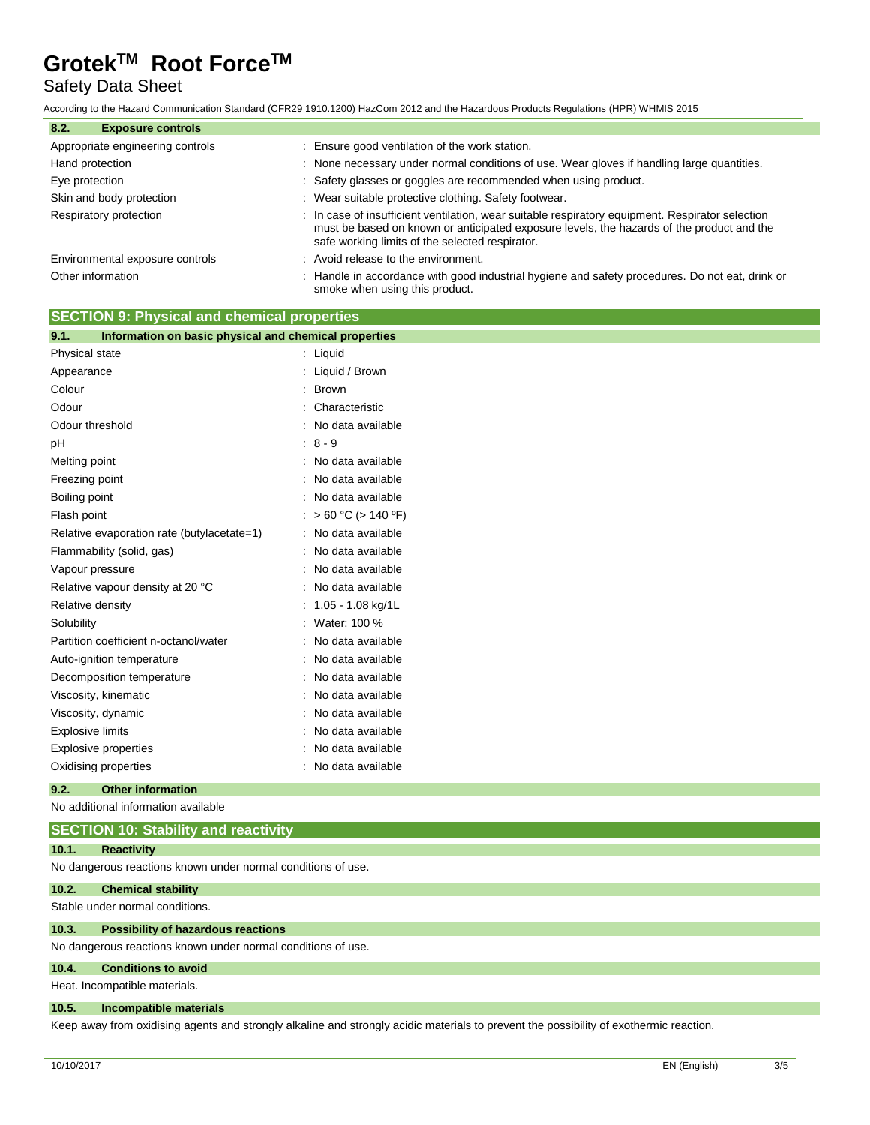# Safety Data Sheet

According to the Hazard Communication Standard (CFR29 1910.1200) HazCom 2012 and the Hazardous Products Regulations (HPR) WHMIS 2015

| 8.2.<br><b>Exposure controls</b> |                                                                                                                                                                                                                                                  |  |
|----------------------------------|--------------------------------------------------------------------------------------------------------------------------------------------------------------------------------------------------------------------------------------------------|--|
| Appropriate engineering controls | : Ensure good ventilation of the work station.                                                                                                                                                                                                   |  |
| Hand protection                  | : None necessary under normal conditions of use. Wear gloves if handling large quantities.                                                                                                                                                       |  |
| Eye protection                   | : Safety glasses or goggles are recommended when using product.                                                                                                                                                                                  |  |
| Skin and body protection         | : Wear suitable protective clothing. Safety footwear.                                                                                                                                                                                            |  |
| Respiratory protection           | : In case of insufficient ventilation, wear suitable respiratory equipment. Respirator selection<br>must be based on known or anticipated exposure levels, the hazards of the product and the<br>safe working limits of the selected respirator. |  |
| Environmental exposure controls  | : Avoid release to the environment.                                                                                                                                                                                                              |  |
| Other information                | Handle in accordance with good industrial hygiene and safety procedures. Do not eat, drink or<br>smoke when using this product.                                                                                                                  |  |

## **SECTION 9: Physical and chemical properties**

| 9.1.<br>Information on basic physical and chemical properties |                       |
|---------------------------------------------------------------|-----------------------|
| Physical state                                                | : Liquid              |
| Appearance                                                    | : Liquid / Brown      |
| Colour                                                        | : Brown               |
| Odour                                                         | Characteristic        |
| Odour threshold                                               | : No data available   |
| рH                                                            | $: 8 - 9$             |
| Melting point                                                 | : No data available   |
| Freezing point                                                | : No data available   |
| Boiling point                                                 | : No data available   |
| Flash point                                                   | : > 60 °C (> 140 °F)  |
| Relative evaporation rate (butylacetate=1)                    | : No data available   |
| Flammability (solid, gas)                                     | : No data available   |
| Vapour pressure                                               | : No data available   |
| Relative vapour density at 20 °C                              | : No data available   |
| Relative density                                              | $: 1.05 - 1.08$ kg/1L |
| Solubility                                                    | : Water: 100 %        |
| Partition coefficient n-octanol/water                         | : No data available   |
| Auto-ignition temperature                                     | : No data available   |
| Decomposition temperature                                     | : No data available   |
| Viscosity, kinematic                                          | : No data available   |
| Viscosity, dynamic                                            | : No data available   |
| <b>Explosive limits</b>                                       | : No data available   |
| Explosive properties                                          | No data available     |
| Oxidising properties                                          | : No data available   |
|                                                               |                       |

### **9.2. Other information**

No additional information available

| <b>SECTION 10: Stability and reactivity</b>                  |            |  |  |
|--------------------------------------------------------------|------------|--|--|
| 10.1.                                                        | Reactivity |  |  |
| No dangerous reactions known under normal conditions of use. |            |  |  |

## **10.2. Chemical stability**

Stable under normal conditions.

### **10.3. Possibility of hazardous reactions**

No dangerous reactions known under normal conditions of use.

## **10.4. Conditions to avoid**

Heat. Incompatible materials.

#### **10.5. Incompatible materials**

Keep away from oxidising agents and strongly alkaline and strongly acidic materials to prevent the possibility of exothermic reaction.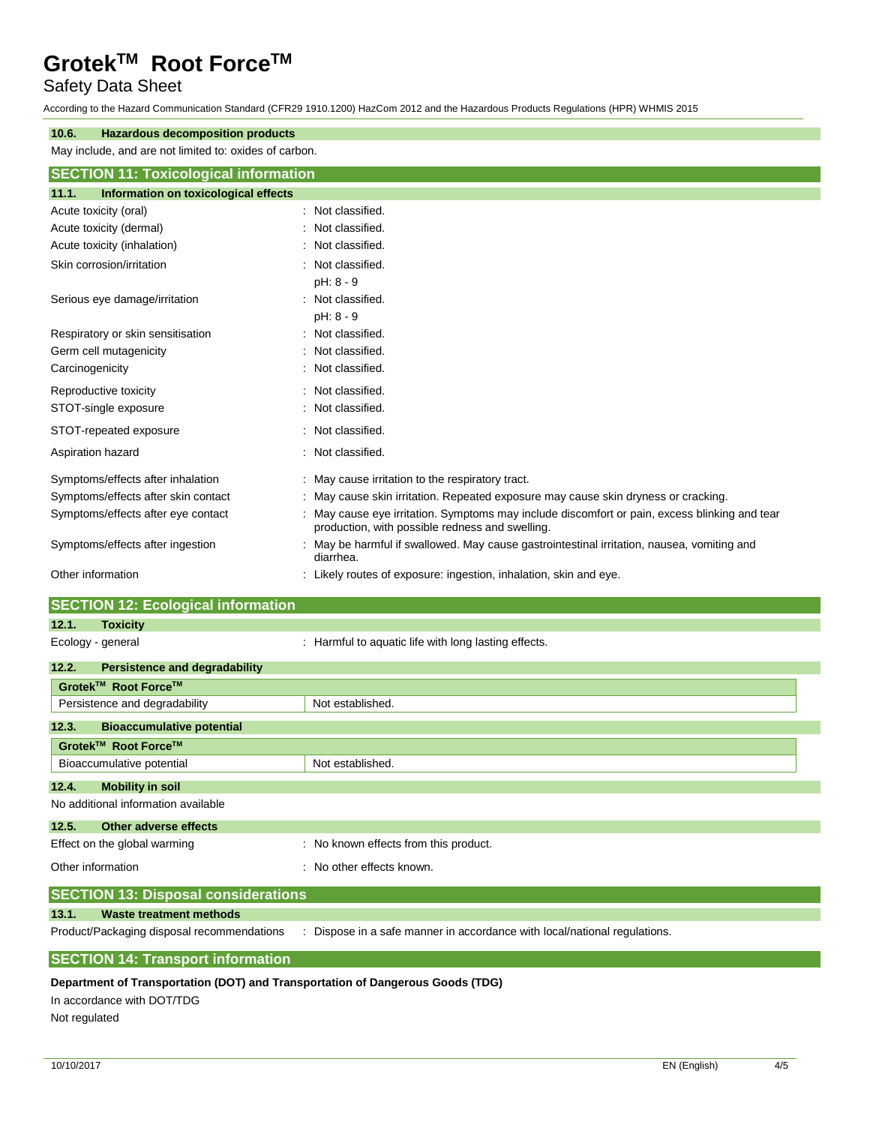# Safety Data Sheet

According to the Hazard Communication Standard (CFR29 1910.1200) HazCom 2012 and the Hazardous Products Regulations (HPR) WHMIS 2015

| <b>Hazardous decomposition products</b><br>10.6.       |                                                                                                                                                  |  |  |  |
|--------------------------------------------------------|--------------------------------------------------------------------------------------------------------------------------------------------------|--|--|--|
| May include, and are not limited to: oxides of carbon. |                                                                                                                                                  |  |  |  |
| <b>SECTION 11: Toxicological information</b>           |                                                                                                                                                  |  |  |  |
| Information on toxicological effects<br>11.1.          |                                                                                                                                                  |  |  |  |
| Acute toxicity (oral)                                  | : Not classified.                                                                                                                                |  |  |  |
| Acute toxicity (dermal)                                | : Not classified.                                                                                                                                |  |  |  |
| Acute toxicity (inhalation)                            | : Not classified.                                                                                                                                |  |  |  |
| Skin corrosion/irritation                              | : Not classified.                                                                                                                                |  |  |  |
|                                                        | pH: 8 - 9                                                                                                                                        |  |  |  |
| Serious eye damage/irritation                          | : Not classified.                                                                                                                                |  |  |  |
|                                                        | pH: 8 - 9                                                                                                                                        |  |  |  |
| Respiratory or skin sensitisation                      | : Not classified.                                                                                                                                |  |  |  |
| Germ cell mutagenicity                                 | : Not classified.                                                                                                                                |  |  |  |
| Carcinogenicity                                        | : Not classified.                                                                                                                                |  |  |  |
| Reproductive toxicity                                  | : Not classified.                                                                                                                                |  |  |  |
| STOT-single exposure                                   | : Not classified.                                                                                                                                |  |  |  |
| STOT-repeated exposure                                 | : Not classified.                                                                                                                                |  |  |  |
| Aspiration hazard                                      | : Not classified.                                                                                                                                |  |  |  |
| Symptoms/effects after inhalation                      | : May cause irritation to the respiratory tract.                                                                                                 |  |  |  |
| Symptoms/effects after skin contact                    | : May cause skin irritation. Repeated exposure may cause skin dryness or cracking.                                                               |  |  |  |
| Symptoms/effects after eye contact                     | : May cause eye irritation. Symptoms may include discomfort or pain, excess blinking and tear<br>production, with possible redness and swelling. |  |  |  |
| Symptoms/effects after ingestion                       | : May be harmful if swallowed. May cause gastrointestinal irritation, nausea, vomiting and<br>diarrhea.                                          |  |  |  |
| Other information                                      | : Likely routes of exposure: ingestion, inhalation, skin and eye.                                                                                |  |  |  |

# **SECTION 12: Ecological information**

| 12.1.                                      | <b>Toxicity</b>                                   |                                                      |  |
|--------------------------------------------|---------------------------------------------------|------------------------------------------------------|--|
| Ecology - general                          |                                                   | : Harmful to aquatic life with long lasting effects. |  |
| 12.2.                                      | <b>Persistence and degradability</b>              |                                                      |  |
|                                            | Grotek™ Root Force™                               |                                                      |  |
|                                            | Persistence and degradability<br>Not established. |                                                      |  |
| 12.3.                                      | <b>Bioaccumulative potential</b>                  |                                                      |  |
| Grotek™ Root Force™                        |                                                   |                                                      |  |
|                                            | Bioaccumulative potential<br>Not established.     |                                                      |  |
| 12.4.                                      | <b>Mobility in soil</b>                           |                                                      |  |
|                                            | No additional information available               |                                                      |  |
| 12.5.                                      | Other adverse effects                             |                                                      |  |
| Effect on the global warming               |                                                   | : No known effects from this product.                |  |
| Other information                          |                                                   | : No other effects known.                            |  |
| <b>SECTION 13: Disposal considerations</b> |                                                   |                                                      |  |

## **13.1. Waste treatment methods**

Product/Packaging disposal recommendations : Dispose in a safe manner in accordance with local/national regulations.

## **SECTION 14: Transport information**

## **Department of Transportation (DOT) and Transportation of Dangerous Goods (TDG)**

In accordance with DOT/TDG

Not regulated